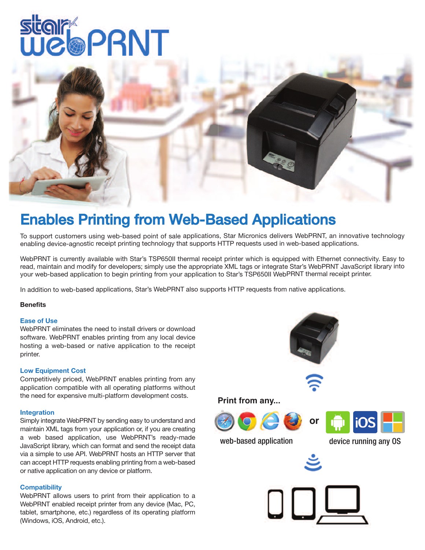# **star PRNT**



### Enables Printing from Web-Based Applications

To support customers using web-based point of sale applications, Star Micronics delivers WebPRNT, an innovative technology enabling device-agnostic receipt printing technology that supports HTTP requests used in web-based applications.

WebPRNT is currently available with Star's TSP650II thermal receipt printer which is equipped with Ethernet connectivity. Easy to read, maintain and modify for developers; simply use the appropriate XML tags or integrate Star's WebPRNT JavaScript library into your web-based application to begin printing from your application to Star's TSP650II WebPRNT thermal receipt printer.

In addition to web-based applications, Star's WebPRNT also supports HTTP requests from native applications.

#### **Benefits**

#### **Ease of Use**

WebPRNT eliminates the need to install drivers or download software. WebPRNT enables printing from any local device hosting a web-based or native application to the receipt printer.

#### **Low Equipment Cost**

Competitively priced, WebPRNT enables printing from any application compatible with all operating platforms without the need for expensive multi-platform development costs.

#### **Integration**

Simply integrate WebPRNT by sending easy to understand and maintain XML tags from your application or, if you are creating a web based application, use WebPRNT's ready-made JavaScript library, which can format and send the receipt data via a simple to use API. WebPRNT hosts an HTTP server that can accept HTTP requests enabling printing from a web-based or native application on any device or platform.

#### **Compatibility**

WebPRNT allows users to print from their application to a WebPRNT enabled receipt printer from any device (Mac, PC, tablet, smartphone, etc.) regardless of its operating platform (Windows, iOS, Android, etc.).